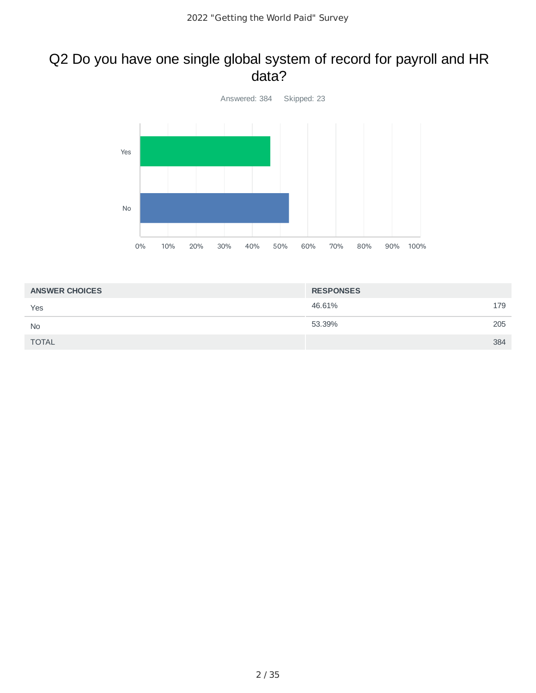#### Q2 Do you have one single global system of record for payroll and HR data?



| <b>ANSWER CHOICES</b> | <b>RESPONSES</b> |     |
|-----------------------|------------------|-----|
| Yes                   | 46.61%           | 179 |
| <b>No</b>             | 53.39%           | 205 |
| <b>TOTAL</b>          |                  | 384 |
|                       |                  |     |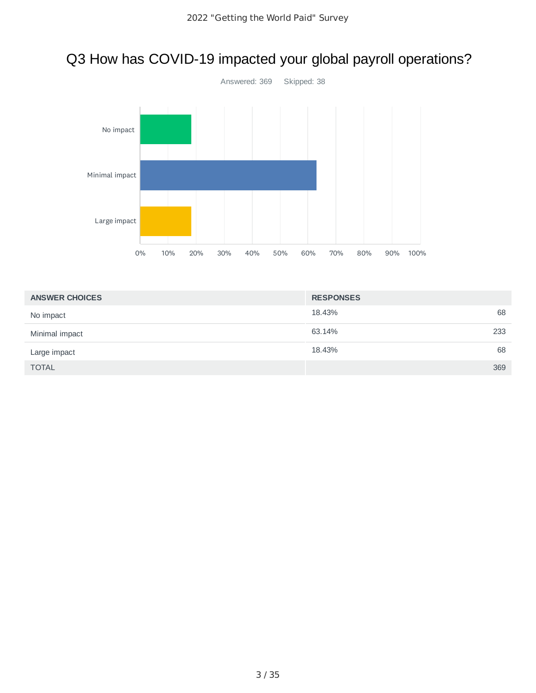# Q3 How has COVID-19 impacted your global payroll operations?



| <b>ANSWER CHOICES</b> | <b>RESPONSES</b> |
|-----------------------|------------------|
| No impact             | 68<br>18.43%     |
| Minimal impact        | 233<br>63.14%    |
| Large impact          | 68<br>18.43%     |
| <b>TOTAL</b>          | 369              |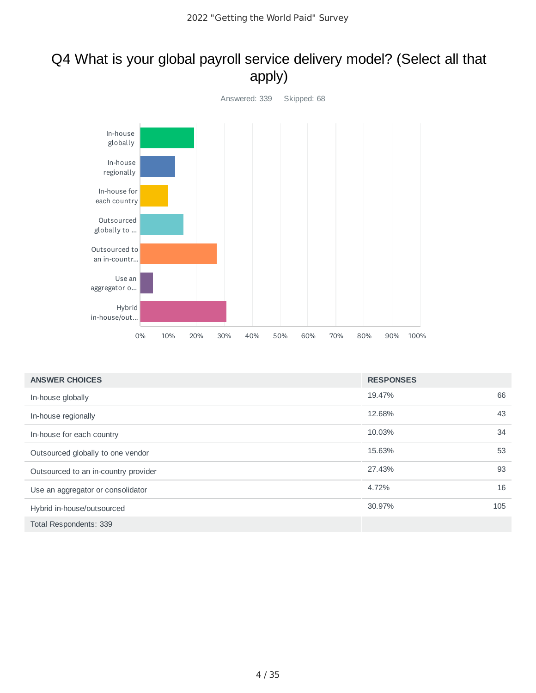# Q4 What is your global payroll service delivery model? (Select all that apply)



| <b>ANSWER CHOICES</b>                | <b>RESPONSES</b> |     |
|--------------------------------------|------------------|-----|
| In-house globally                    | 19.47%           | 66  |
| In-house regionally                  | 12.68%           | 43  |
| In-house for each country            | 10.03%           | 34  |
| Outsourced globally to one vendor    | 15.63%           | 53  |
| Outsourced to an in-country provider | 27.43%           | 93  |
| Use an aggregator or consolidator    | 4.72%            | 16  |
| Hybrid in-house/outsourced           | 30.97%           | 105 |
| Total Respondents: 339               |                  |     |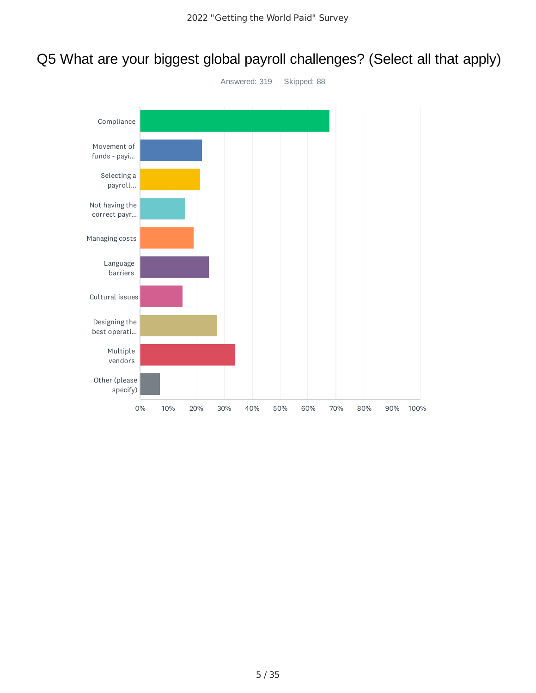# Q5 What are your biggest global payroll challenges? (Select all that apply)

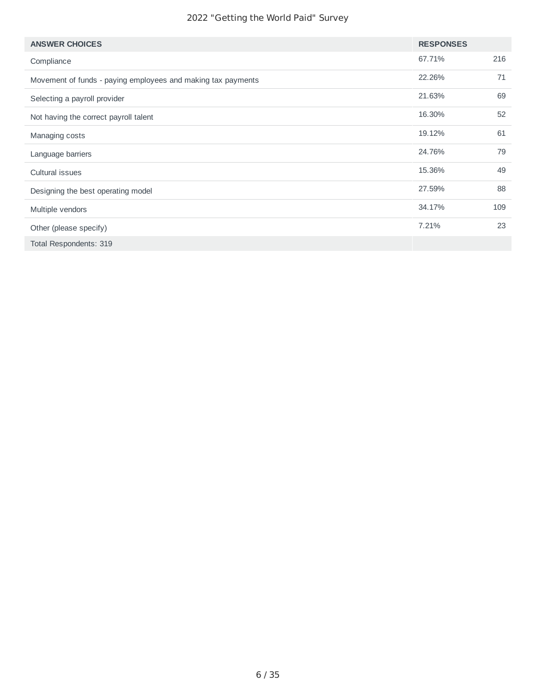| <b>ANSWER CHOICES</b>                                        | <b>RESPONSES</b> |     |
|--------------------------------------------------------------|------------------|-----|
| Compliance                                                   | 67.71%           | 216 |
| Movement of funds - paying employees and making tax payments | 22.26%           | 71  |
| Selecting a payroll provider                                 | 21.63%           | 69  |
| Not having the correct payroll talent                        | 16.30%           | 52  |
| Managing costs                                               | 19.12%           | 61  |
| Language barriers                                            | 24.76%           | 79  |
| Cultural issues                                              | 15.36%           | 49  |
| Designing the best operating model                           | 27.59%           | 88  |
| Multiple vendors                                             | 34.17%           | 109 |
| Other (please specify)                                       | 7.21%            | 23  |
| Total Respondents: 319                                       |                  |     |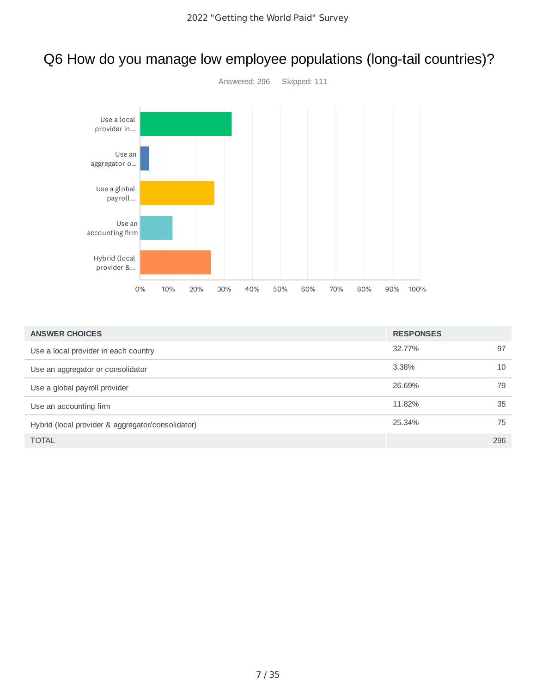# Q6 How do you manage low employee populations (long-tail countries)?



| <b>ANSWER CHOICES</b>                             | <b>RESPONSES</b> |     |
|---------------------------------------------------|------------------|-----|
| Use a local provider in each country              | 32.77%           | 97  |
| Use an aggregator or consolidator                 | 3.38%            | 10  |
| Use a global payroll provider                     | 26.69%           | 79  |
| Use an accounting firm                            | 11.82%           | 35  |
| Hybrid (local provider & aggregator/consolidator) | 25.34%           | 75  |
| <b>TOTAL</b>                                      |                  | 296 |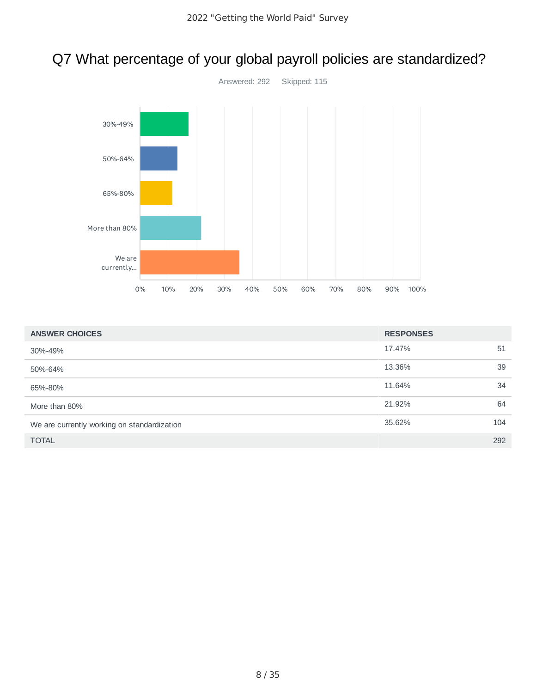# Q7 What percentage of your global payroll policies are standardized?



| <b>ANSWER CHOICES</b>                       | <b>RESPONSES</b> |     |
|---------------------------------------------|------------------|-----|
| 30%-49%                                     | 17.47%           | 51  |
| 50%-64%                                     | 13.36%           | 39  |
| 65%-80%                                     | 11.64%           | 34  |
| More than 80%                               | 21.92%           | 64  |
| We are currently working on standardization | 35.62%           | 104 |
| <b>TOTAL</b>                                |                  | 292 |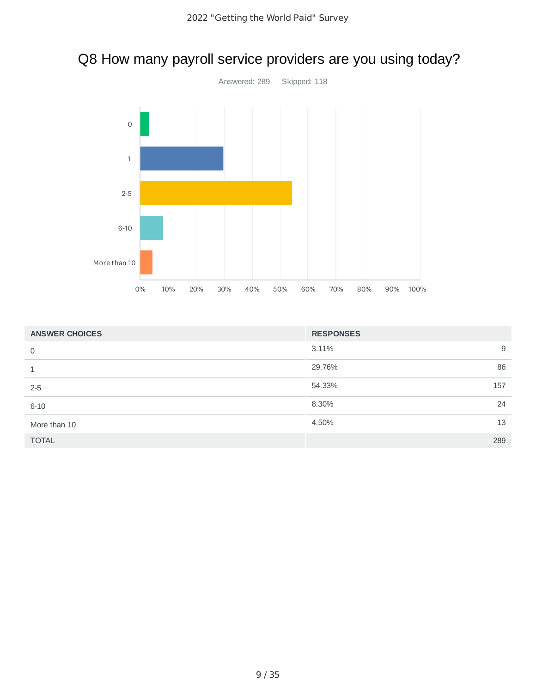# Q8 How many payroll service providers are you using today?



| <b>ANSWER CHOICES</b> | <b>RESPONSES</b> |     |
|-----------------------|------------------|-----|
| 0                     | 3.11%            | 9   |
| 1                     | 29.76%           | 86  |
| $2 - 5$               | 54.33%           | 157 |
| $6 - 10$              | 8.30%            | 24  |
| More than 10          | 4.50%            | 13  |
| <b>TOTAL</b>          |                  | 289 |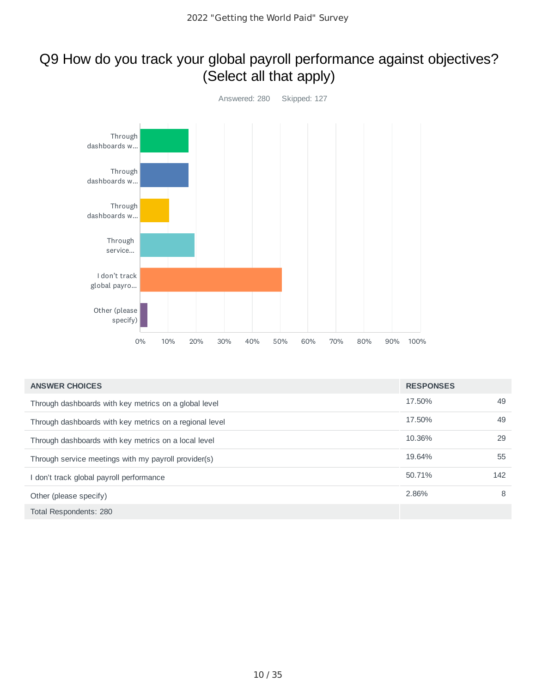### Q9 How do you track your global payroll performance against objectives? (Select all that apply)



| <b>ANSWER CHOICES</b>                                   | <b>RESPONSES</b> |     |
|---------------------------------------------------------|------------------|-----|
| Through dashboards with key metrics on a global level   | 17.50%           | 49  |
| Through dashboards with key metrics on a regional level | 17.50%           | 49  |
| Through dashboards with key metrics on a local level    | 10.36%           | 29  |
| Through service meetings with my payroll provider(s)    | 19.64%           | 55  |
| I don't track global payroll performance                | 50.71%           | 142 |
| Other (please specify)                                  | 2.86%            | 8   |
| Total Respondents: 280                                  |                  |     |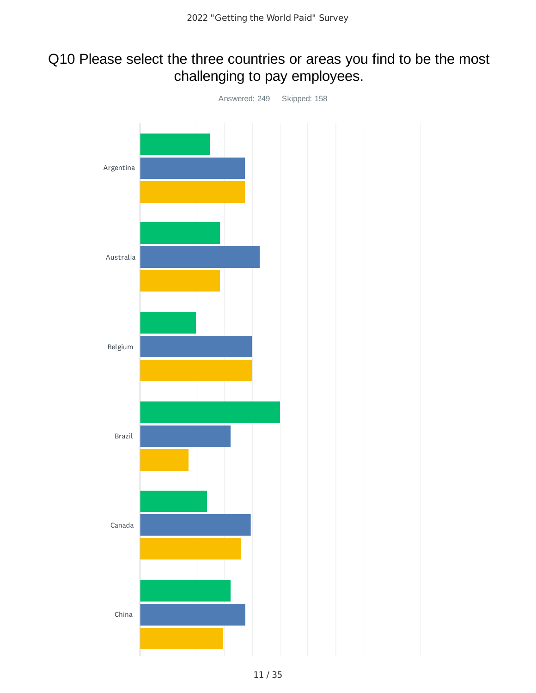### Q10 Please select the three countries or areas you find to be the most challenging to pay employees.

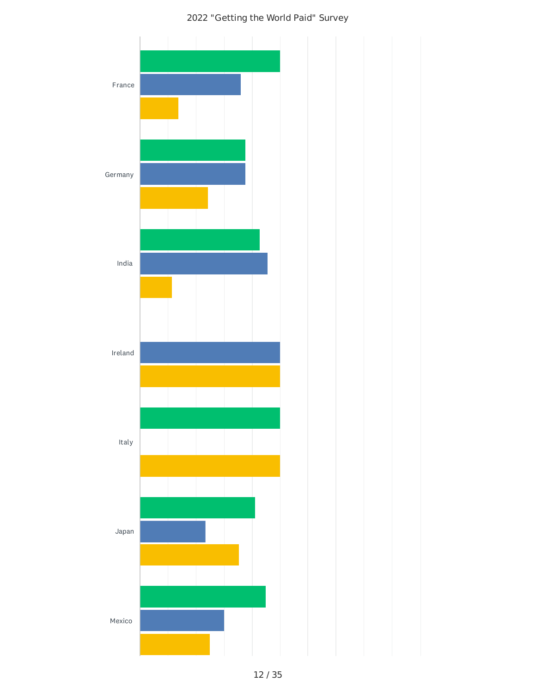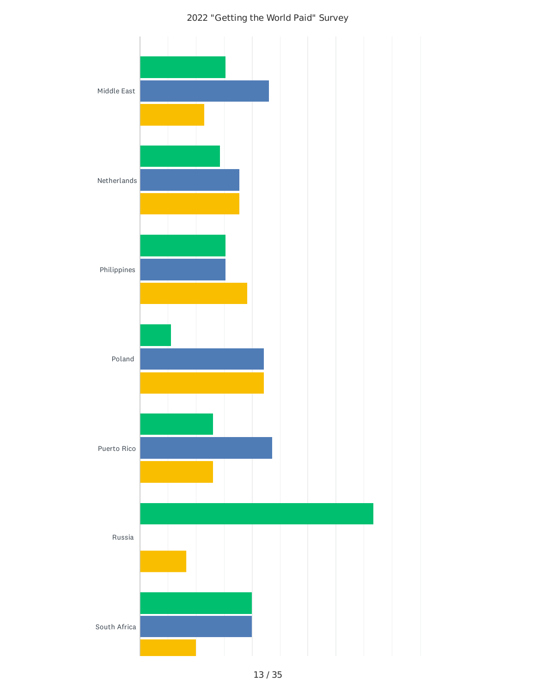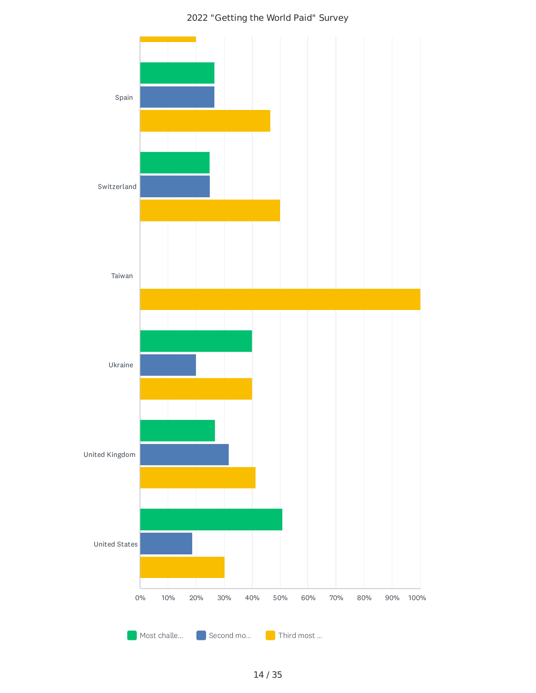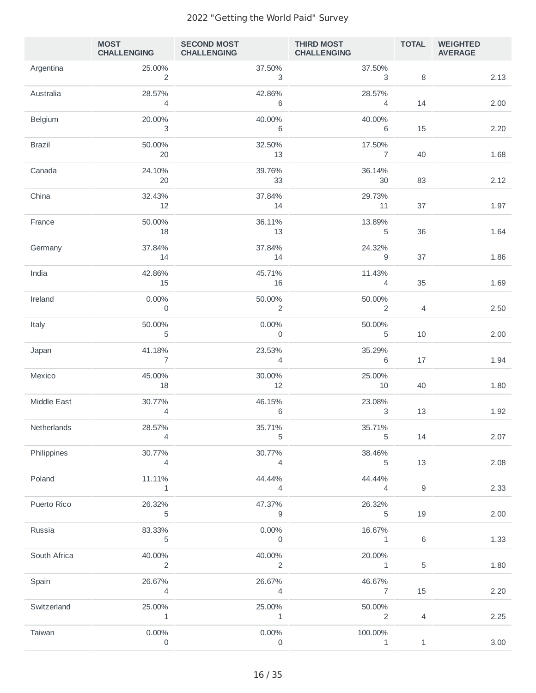|                | <b>MOST</b><br>CHALLENGING CHALLENGING | <b>SECOND MOST</b>       | <b>THIRD MOST THIRD MOST</b><br><b>CHALLENGING</b> | <b>TOTAL</b>   | <b>WEIGHTED</b><br><b>AVERAGE</b> |
|----------------|----------------------------------------|--------------------------|----------------------------------------------------|----------------|-----------------------------------|
| Argentina      | 25.00%<br>$\overline{2}$               | 37.50%<br>3              | 37.50%<br>3                                        | 8              | 2.13                              |
| Australia      | 28.57%<br>$\overline{4}$               | 42.86%<br>6              | 28.57%<br>$\overline{4}$                           | 14             | 2.00                              |
| <b>Belgium</b> | 20.00%<br>$\overline{\phantom{a}}$     | 40.00%<br>6              | 40.00%<br>6                                        | 15             | 2.20                              |
| <b>Brazil</b>  | 50.00%<br>20                           | 32.50%<br>13             | 17.50%<br>7                                        | 40             | 1.68                              |
| Canada         | 24.10%<br>20                           | 39.76%<br>33             | 36.14%<br>30                                       | 83             | 2.12                              |
| China          | 32.43%<br>12                           | 37.84%<br>14             | 29.73%<br>11                                       | 37             | 1.97                              |
| France         | 50.00%<br>18                           | 36.11%<br>13             | 13.89%<br>5                                        | 36             |                                   |
| Germany        | 37.84%                                 | 37.84%                   | 24.32%                                             |                | 1.64                              |
| India          | 14<br>42.86%                           | 14<br>45.71%             | 9<br>11.43%                                        | 37             | 1.86                              |
| Ireland        | 15<br>0.00%                            | 16<br>50.00%             | 4<br>50.00%                                        | 35             | 1.69                              |
| Italy          | $\overline{0}$<br>50.00%               | $\overline{2}$<br>0.00%  | 2<br>50.00%                                        | $\overline{4}$ | 2.50                              |
|                | $\mathbf 5$<br>41.18%                  | $\mathbf 0$<br>23.53%    | 5<br>35.29%                                        | 10             | 2.00                              |
| Japan          | $\overline{7}$                         | $\overline{4}$           | 6                                                  | 17             | 1.94                              |
| Mexico         | 45.00%<br>18                           | 30.00%<br>12             | 25.00%<br>10                                       | 40             | 1.80                              |
| Middle East    | 30.77%<br>$\overline{4}$               | 46.15%<br>6              | 23.08%<br>3                                        | 13             | 1.92                              |
| Netherlands    | 28.57%<br>$\overline{4}$               | 35.71%<br>$\mathbf 5$    | 35.71%<br>5                                        | 14             | 2.07                              |
| Philippines    | 30.77%<br>$\overline{4}$               | 30.77%<br>$\overline{4}$ | 38.46%<br>5                                        | 13             | 2.08                              |
| Poland         | 11.11%<br>$\mathbf{1}$                 | 44.44%<br>$\overline{4}$ | 44.44%<br>$\overline{4}$                           | $\mathsf g$    | 2.33                              |
| Puerto Rico    | 26.32%<br>5                            | 47.37%<br>$\mathsf g$    | 26.32%<br>5                                        | 19             | 2.00                              |
| Russia         | 83.33%<br>5                            | 0.00%<br>$\overline{0}$  | 16.67%<br>$\mathbf{1}$                             | $\,6\,$        | 1.33                              |
| South Africa   | 40.00%<br>$\overline{2}$               | 40.00%<br>2              | 20.00%<br>$\mathbf{1}$                             | $\mathbf 5$    | 1.80                              |
| Spain          | 26.67%<br>$\overline{4}$               | 26.67%<br>$\overline{4}$ | 46.67%<br>7                                        | 15             | 2.20                              |
| Switzerland    | 25.00%                                 | 25.00%                   | 50.00%                                             |                |                                   |
| Taiwan         | $\mathbf{1}$<br>$0.00\%$               | $\mathbf{1}$<br>0.00%    | $\overline{2}$<br>100.00%                          | $\overline{4}$ | 2.25                              |
|                | $\mathbf 0$                            | 0                        | $\mathbf{1}$                                       | $\,1\,$        | 3.00                              |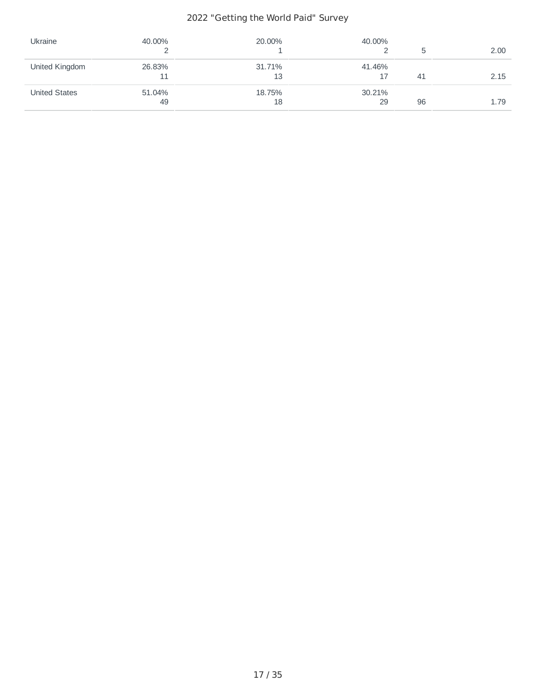| Ukraine              | 40.00%       | 20.00%       | 40.00%       |     | 2.00 |
|----------------------|--------------|--------------|--------------|-----|------|
| United Kingdom       | 26.83%       | 31.71%<br>13 | 41.46%<br>17 | -41 | 2.15 |
| <b>United States</b> | 51.04%<br>49 | 18.75%<br>18 | 30.21%<br>29 | 96  | 1.79 |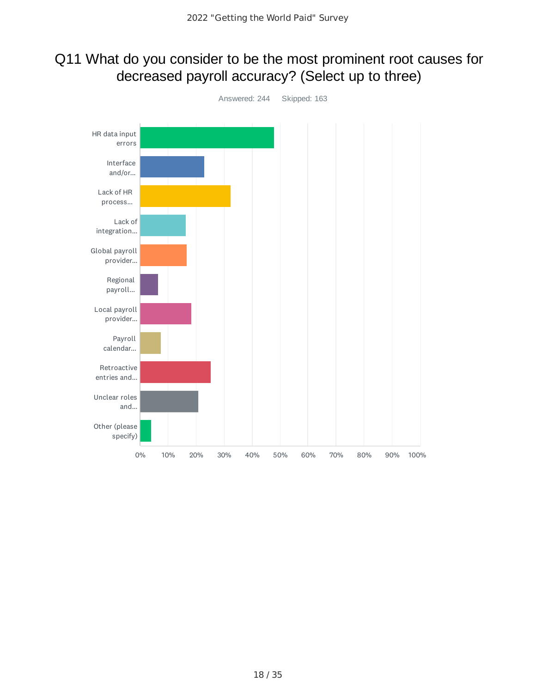### Q11 What do you consider to be the most prominent root causes for decreased payroll accuracy? (Select up to three)

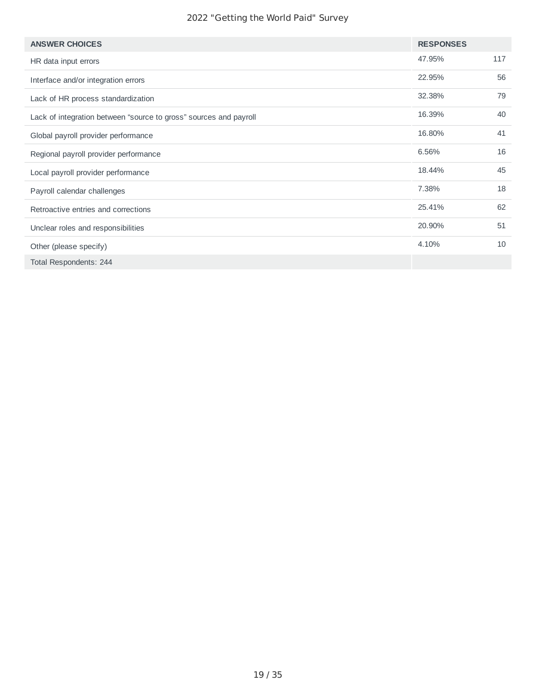| <b>ANSWER CHOICES</b>                                             | <b>RESPONSES</b> |     |
|-------------------------------------------------------------------|------------------|-----|
| HR data input errors                                              | 47.95%           | 117 |
| Interface and/or integration errors                               | 22.95%           | 56  |
| Lack of HR process standardization                                | 32.38%           | 79  |
| Lack of integration between "source to gross" sources and payroll | 16.39%           | 40  |
| Global payroll provider performance                               | 16.80%           | 41  |
| Regional payroll provider performance                             | 6.56%            | 16  |
| Local payroll provider performance                                | 18.44%           | 45  |
| Payroll calendar challenges                                       | 7.38%            | 18  |
| Retroactive entries and corrections                               | 25.41%           | 62  |
| Unclear roles and responsibilities                                | 20.90%           | 51  |
| Other (please specify)                                            | 4.10%            | 10  |
| Total Respondents: 244                                            |                  |     |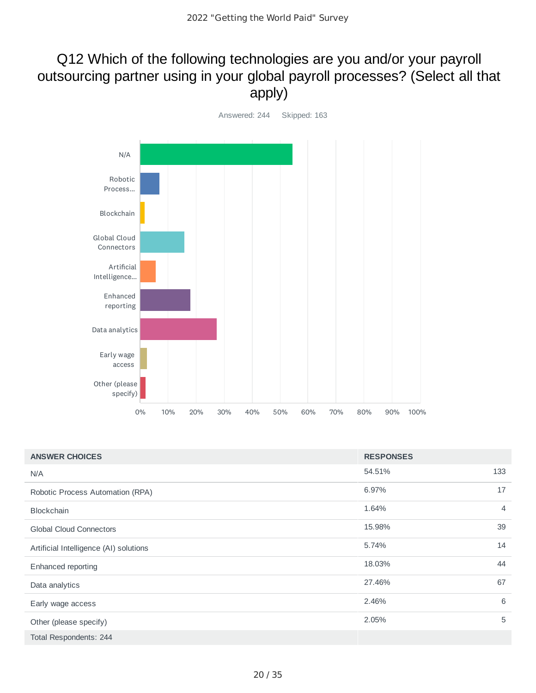### Q12 Which of the following technologies are you and/or your payroll outsourcing partner using in your global payroll processes? (Select all that apply)



| <b>ANSWER CHOICES</b>                  | <b>RESPONSES</b> |                |
|----------------------------------------|------------------|----------------|
| N/A                                    | 54.51%           | 133            |
| Robotic Process Automation (RPA)       | 6.97%            | 17             |
| <b>Blockchain</b>                      | 1.64%            | $\overline{4}$ |
| <b>Global Cloud Connectors</b>         | 15.98%           | 39             |
| Artificial Intelligence (AI) solutions | 5.74%            | 14             |
| Enhanced reporting                     | 18.03%           | 44             |
| Data analytics                         | 27.46%           | 67             |
| Early wage access                      | 2.46%            | 6              |
| Other (please specify)                 | 2.05%            | 5              |
| Total Respondents: 244                 |                  |                |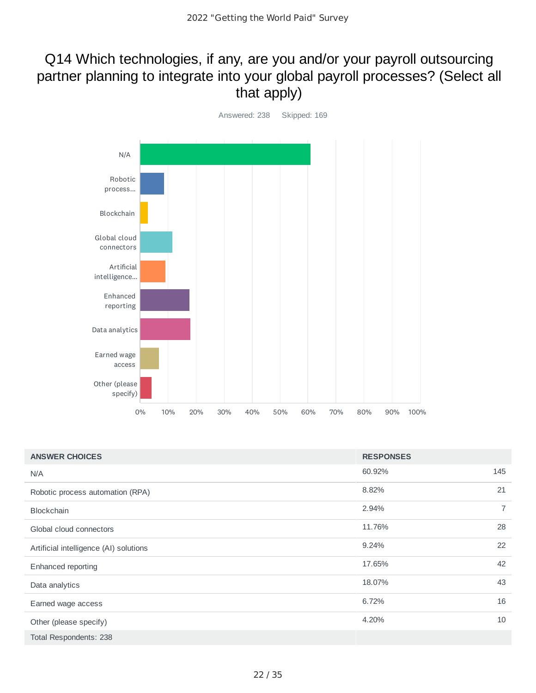### Q14 Which technologies, if any, are you and/or your payroll outsourcing partner planning to integrate into your global payroll processes? (Select all that apply)



| <b>ANSWER CHOICES</b>                  | <b>RESPONSES</b> |                |
|----------------------------------------|------------------|----------------|
| N/A                                    | 60.92%           | 145            |
| Robotic process automation (RPA)       | 8.82%            | 21             |
| <b>Blockchain</b>                      | 2.94%            | $\overline{7}$ |
| Global cloud connectors                | 11.76%           | 28             |
| Artificial intelligence (AI) solutions | 9.24%            | 22             |
| Enhanced reporting                     | 17.65%           | 42             |
| Data analytics                         | 18.07%           | 43             |
| Earned wage access                     | 6.72%            | 16             |
| Other (please specify)                 | 4.20%            | 10             |
| Total Respondents: 238                 |                  |                |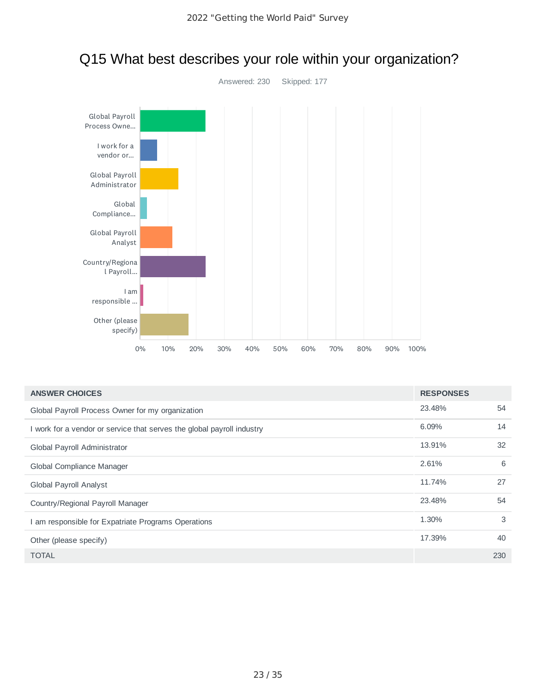

### Q15 What best describes your role within your organization?

| <b>ANSWER CHOICES</b>                                                  | <b>RESPONSES</b> |     |
|------------------------------------------------------------------------|------------------|-----|
| Global Payroll Process Owner for my organization                       | 23.48%           | 54  |
| I work for a vendor or service that serves the global payroll industry | 6.09%            | 14  |
| Global Payroll Administrator                                           | 13.91%           | 32  |
| Global Compliance Manager                                              | 2.61%            | 6   |
| Global Payroll Analyst                                                 | 11.74%           | 27  |
| Country/Regional Payroll Manager                                       | 23.48%           | 54  |
| I am responsible for Expatriate Programs Operations                    | 1.30%            | 3   |
| Other (please specify)                                                 | 17.39%           | 40  |
| <b>TOTAL</b>                                                           |                  | 230 |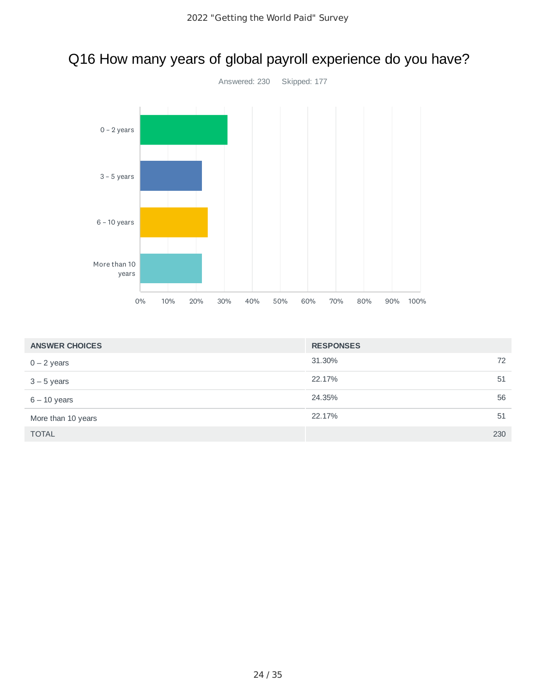

# Q16 How many years of global payroll experience do you have?

| <b>ANSWER CHOICES</b> | <b>RESPONSES</b> |     |
|-----------------------|------------------|-----|
| $0 - 2$ years         | 31.30%           | 72  |
| $3 - 5$ years         | 22.17%           | 51  |
| $6 - 10$ years        | 24.35%           | 56  |
| More than 10 years    | 22.17%           | 51  |
| <b>TOTAL</b>          |                  | 230 |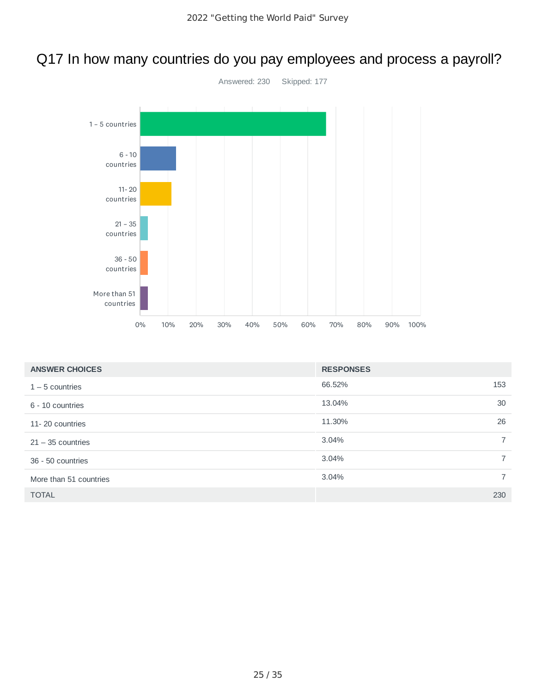## Q17 In how many countries do you pay employees and process a payroll?



| <b>ANSWER CHOICES</b>  | <b>RESPONSES</b> |                |
|------------------------|------------------|----------------|
| $1 - 5$ countries      | 66.52%           | 153            |
| 6 - 10 countries       | 13.04%           | 30             |
| 11-20 countries        | 11.30%           | 26             |
| $21 - 35$ countries    | 3.04%            | $\overline{7}$ |
| 36 - 50 countries      | 3.04%            | $\overline{7}$ |
| More than 51 countries | 3.04%            | $\overline{7}$ |
| <b>TOTAL</b>           |                  | 230            |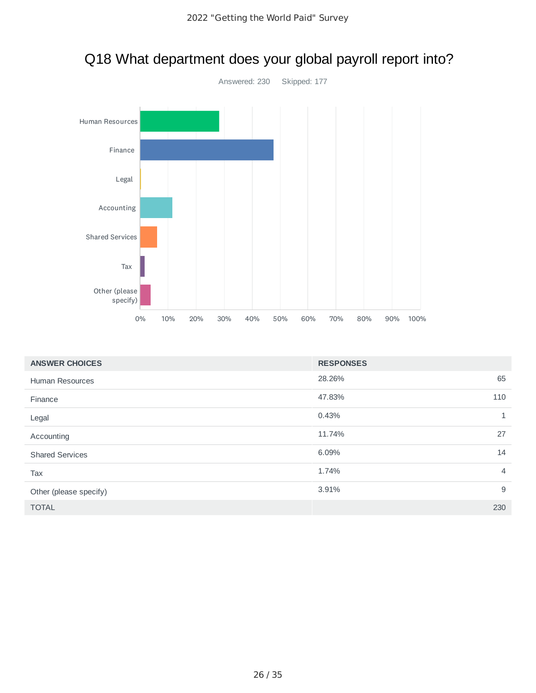

# Q18 What department does your global payroll report into?

| <b>ANSWER CHOICES</b>  | <b>RESPONSES</b> |                |
|------------------------|------------------|----------------|
| <b>Human Resources</b> | 28.26%           | 65             |
| Finance                | 47.83%           | 110            |
| Legal                  | 0.43%            | $\mathbf{1}$   |
| Accounting             | 11.74%           | 27             |
| <b>Shared Services</b> | 6.09%            | 14             |
| Tax                    | 1.74%            | $\overline{4}$ |
| Other (please specify) | 3.91%            | 9              |
| <b>TOTAL</b>           |                  | 230            |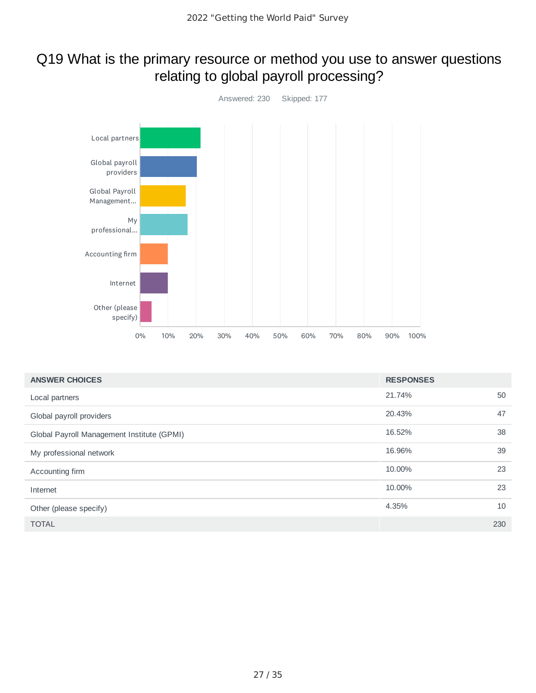### Q19 What is the primary resource or method you use to answer questions relating to global payroll processing?



| <b>ANSWER CHOICES</b>                      | <b>RESPONSES</b> |     |
|--------------------------------------------|------------------|-----|
| Local partners                             | 21.74%           | 50  |
| Global payroll providers                   | 20.43%           | 47  |
| Global Payroll Management Institute (GPMI) | 16.52%           | 38  |
| My professional network                    | 16.96%           | 39  |
| Accounting firm                            | 10.00%           | 23  |
| Internet                                   | 10.00%           | 23  |
| Other (please specify)                     | 4.35%            | 10  |
| <b>TOTAL</b>                               |                  | 230 |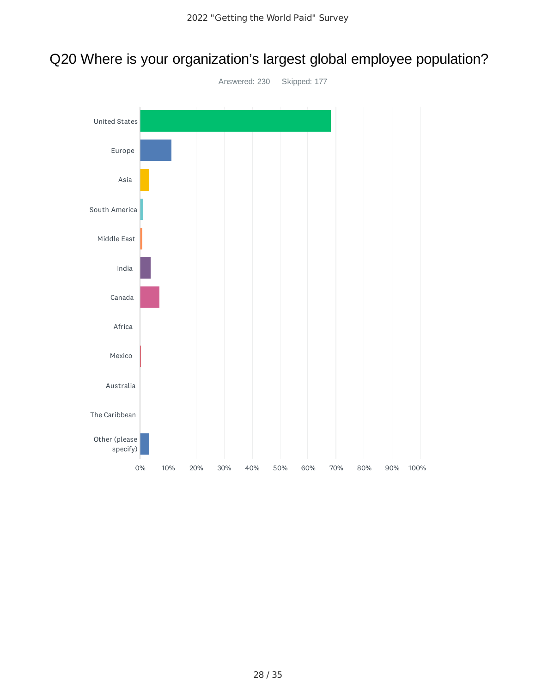# Q20 Where is your organization's largest global employee population?

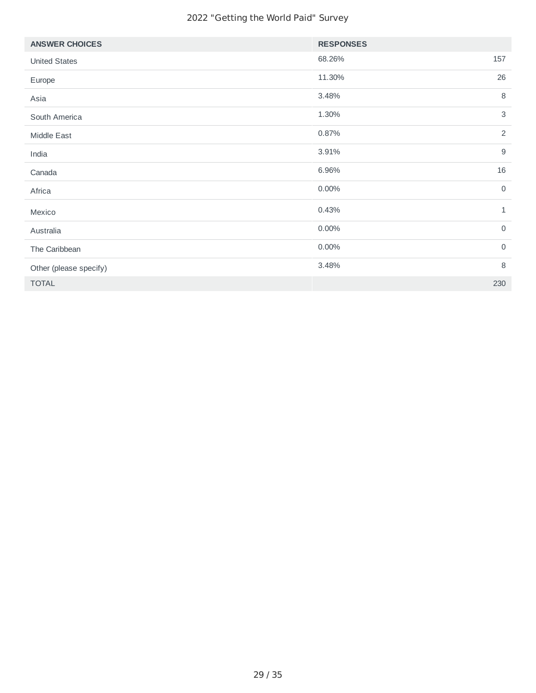| <b>ANSWER CHOICES</b>  | <b>RESPONSES</b>        |
|------------------------|-------------------------|
| <b>United States</b>   | 157<br>68.26%           |
| Europe                 | 26<br>11.30%            |
| Asia                   | 8<br>3.48%              |
| South America          | $\mathsf{3}$<br>1.30%   |
| Middle East            | $\overline{2}$<br>0.87% |
| India                  | $\mathsf g$<br>3.91%    |
| Canada                 | 16<br>6.96%             |
| Africa                 | $\overline{0}$<br>0.00% |
| Mexico                 | 0.43%<br>$\mathbf{1}$   |
| Australia              | $\mathsf{O}$<br>0.00%   |
| The Caribbean          | $\overline{0}$<br>0.00% |
| Other (please specify) | 8<br>3.48%              |
| <b>TOTAL</b>           | 230                     |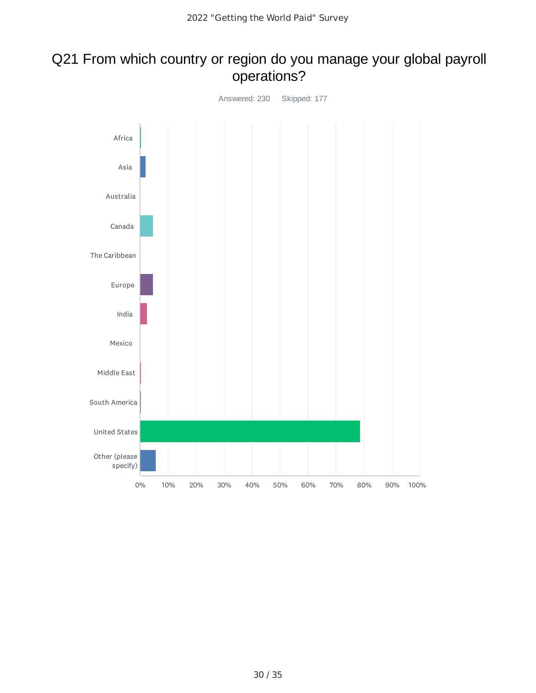### Q21 From which country or region do you manage your global payroll operations?